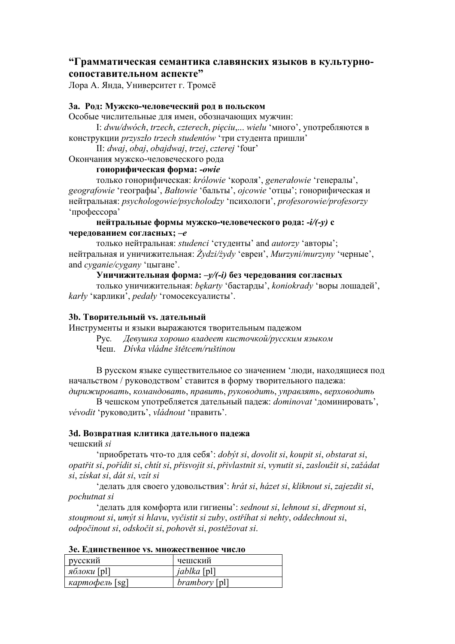# **"Грамматическая семантика славянских языков в культурносопоставительном аспекте"**

Лора А. Янда, Университет г. Тромсё

## **3a. Род: Мужско-человеческий род в польском**

Особые числительные для имен, обозначающих мужчин:

I: *dwu/dwóch*, *trzech*, *czterech*, *pięciu*,... *wielu* 'много', употребляются в конструкции *przyszło trzech studentów* 'три студента пришли'

II: *dwaj*, *obaj*, *obajdwaj*, *trzej*, *czterej* 'four'

Окончания мужско-человеческого рода

## **гонорифическая форма:** *-owie*

только гонорифическая: *królowie* 'короля', *generałowie* 'генералы', *geografowie* 'географы', *Bałtowie* 'бальты', *ojcowie* 'отцы'; гонорифическая и нейтральная: *psychologowie/psycholodzy* 'психологи', *profesorowie/profesorzy* 'профессора'

#### **нейтральные формы мужско-человеческого рода:** *-i/(-y)* **с чередованием согласных;** *–e*

только нейтральная: *studenci* 'студенты' and *autorzy* 'авторы'; нейтральная и уничижительная: *Żydzi/żydy* 'евреи', *Murzyni/murzyny* 'черные', and *cyganie/cygany* 'цыгане'.

#### **Уничижительная форма:** *–y/(-i)* **без чередования согласных**

только уничижительная: *bękarty* 'бастарды', *koniokrady* 'воры лошадей', *karły* 'карлики', *pedały* 'гомосексуалисты'.

## **3b. Творительный vs. дательный**

Инструменты и языки выражаются творительным падежом

Рус*. Девушка хорошо владеет кисточкой/русским языком*

Чеш. *Dívka vládne štětcem/ruštinou*

В русском языке существительное со значением 'люди, находящиеся под начальством / руководством' ставится в форму творительного падежа: *дирижировать*, *командовать*, *править*, *руководить*, *управлять*, *верховодить*

В чешском употребляется дательный падеж: *dominovat* 'доминировать', *vévodit* 'руководить', *vládnout* 'править'.

## **3d. Возвратная клитика дательного падежа**

## чешский *si*

'приобретать что-то для себя': *dobýt si*, *dovolit si*, *koupit si*, *obstarat si*, opatřit si, pořídit si, chtít si, přisvojit si, přivlastnit si, vynutit si, zasloužit si, zažádat *si*, *získat si*, *dát si*, *vzít si*

'делать для своего удовольствия': *hrát si*, *házet si*, *kliknout si*, *zajezdit si*, *pochutnat si*

'делать для комфорта или гигиены': *sednout si*, *lehnout si*, *dřepnout si*, *stoupnout si*, *umýt si hlavu*, *vyčistit si zuby*, *ostříhat si nehty*, *oddechnout si*, *odpočinout si*, *odskočit si*, *pohovět si*, *postěžovat si*.

| русский        | чешский              |
|----------------|----------------------|
| яблоки [pl]    | <i>jablka</i> [pl]   |
| картофель [sg] | <i>brambory</i> [pl] |

#### **3e. Единственное vs. множественное число**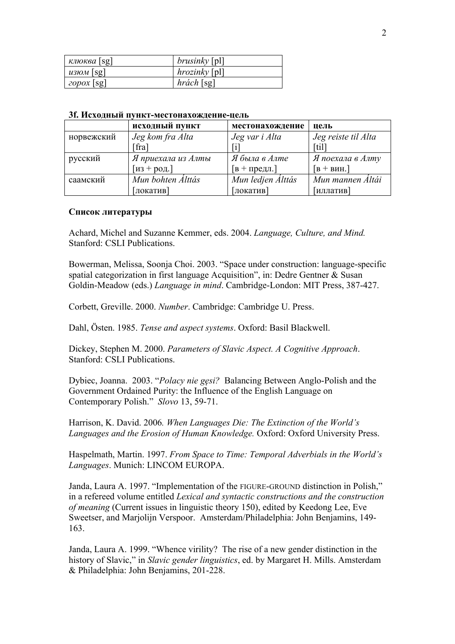| $K\overline{l}$ IOKBA [Sg] | <i>brusinky</i> [pl] |
|----------------------------|----------------------|
| $\mu$ 3 <i>HOM</i> [Sg]    | $hrozinky$ [pl]      |
| $20$ pox [sg]              | $h$ rách [sg]        |

#### **3f. Исходный пункт-местонахождение-цель**

|            | исходный пункт     | местонахождение                   | цель                       |
|------------|--------------------|-----------------------------------|----------------------------|
| норвежский | Jeg kom fra Alta   | Jeg var i Alta                    | Jeg reiste til Alta        |
|            | [fra]              |                                   | $\lceil \text{til} \rceil$ |
| русский    | Я приехала из Алты | Я была в Алте                     | Я поехала в Алту           |
|            | $[$ из + род.]     | $\lceil B + \text{предл.} \rceil$ | $[B + BHH.]$               |
| саамский   | Mun bohten Álttás  | Mun ledjen Álttás                 | Mun mannen Áltái           |
|            | [локатив]          | [локатив]                         | [иллатив]                  |

#### **Список литературы**

Achard, Michel and Suzanne Kemmer, eds. 2004. *Language, Culture, and Mind.* Stanford: CSLI Publications.

Bowerman, Melissa, Soonja Choi. 2003. "Space under construction: language-specific spatial categorization in first language Acquisition", in: Dedre Gentner & Susan Goldin-Meadow (eds.) *Language in mind*. Cambridge-London: MIT Press, 387-427.

Corbett, Greville. 2000. *Number*. Cambridge: Cambridge U. Press.

Dahl, Östen. 1985. *Tense and aspect systems*. Oxford: Basil Blackwell.

Dickey, Stephen M. 2000. *Parameters of Slavic Aspect. A Cognitive Approach*. Stanford: CSLI Publications.

Dybiec, Joanna. 2003. "*Polacy nie gęsi?* Balancing Between Anglo-Polish and the Government Ordained Purity: the Influence of the English Language on Contemporary Polish." *Slovo* 13, 59-71.

Harrison, K. David. 2006*. When Languages Die: The Extinction of the World's Languages and the Erosion of Human Knowledge.* Oxford: Oxford University Press.

Haspelmath, Martin. 1997. *From Space to Time: Temporal Adverbials in the World's Languages*. Munich: LINCOM EUROPA.

Janda, Laura A. 1997. "Implementation of the FIGURE-GROUND distinction in Polish," in a refereed volume entitled *Lexical and syntactic constructions and the construction of meaning* (Current issues in linguistic theory 150), edited by Keedong Lee, Eve Sweetser, and Marjolijn Verspoor. Amsterdam/Philadelphia: John Benjamins, 149- 163.

Janda, Laura A. 1999. "Whence virility? The rise of a new gender distinction in the history of Slavic," in *Slavic gender linguistics*, ed. by Margaret H. Mills. Amsterdam & Philadelphia: John Benjamins, 201-228.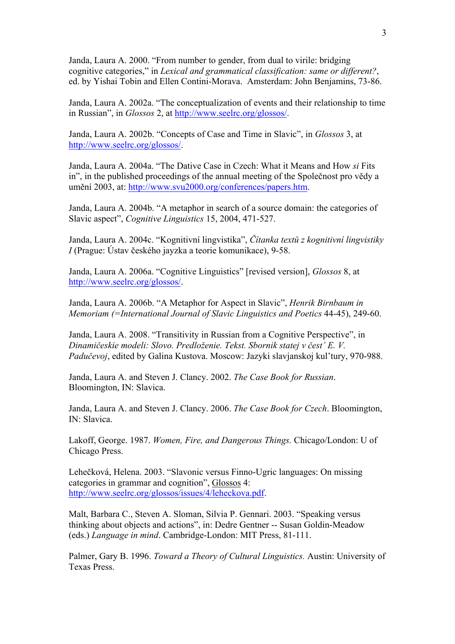Janda, Laura A. 2000. "From number to gender, from dual to virile: bridging cognitive categories," in *Lexical and grammatical classification: same or different?*, ed. by Yishai Tobin and Ellen Contini-Morava. Amsterdam: John Benjamins, 73-86.

Janda, Laura A. 2002a. "The conceptualization of events and their relationship to time in Russian", in *Glossos* 2, at http://www.seelrc.org/glossos/.

Janda, Laura A. 2002b. "Concepts of Case and Time in Slavic", in *Glossos* 3, at http://www.seelrc.org/glossos/.

Janda, Laura A. 2004a. "The Dative Case in Czech: What it Means and How *si* Fits in", in the published proceedings of the annual meeting of the Společnost pro vědy a umění 2003, at: http://www.svu2000.org/conferences/papers.htm.

Janda, Laura A. 2004b. "A metaphor in search of a source domain: the categories of Slavic aspect", *Cognitive Linguistics* 15, 2004, 471-527.

Janda, Laura A. 2004c. "Kognitivní lingvistika", *Čítanka textů z kognitivní lingvistiky I* (Prague: Ústav českého jayzka a teorie komunikace), 9-58.

Janda, Laura A. 2006a. "Cognitive Linguistics" [revised version], *Glossos* 8, at http://www.seelrc.org/glossos/.

Janda, Laura A. 2006b. "A Metaphor for Aspect in Slavic", *Henrik Birnbaum in Memoriam (=International Journal of Slavic Linguistics and Poetics* 44-45), 249-60.

Janda, Laura A. 2008. "Transitivity in Russian from a Cognitive Perspective", in *Dinamičeskie modeli: Slovo. Predloženie. Tekst. Sbornik statej v čest' E. V. Padučevoj*, edited by Galina Kustova. Moscow: Jazyki slavjanskoj kul'tury, 970-988.

Janda, Laura A. and Steven J. Clancy. 2002. *The Case Book for Russian*. Bloomington, IN: Slavica.

Janda, Laura A. and Steven J. Clancy. 2006. *The Case Book for Czech*. Bloomington, IN: Slavica.

Lakoff, George. 1987. *Women, Fire, and Dangerous Things.* Chicago/London: U of Chicago Press.

Lehečková, Helena. 2003. "Slavonic versus Finno-Ugric languages: On missing categories in grammar and cognition", Glossos 4: http://www.seelrc.org/glossos/issues/4/leheckova.pdf.

Malt, Barbara C., Steven A. Sloman, Silvia P. Gennari. 2003. "Speaking versus thinking about objects and actions", in: Dedre Gentner -- Susan Goldin-Meadow (eds.) *Language in mind*. Cambridge-London: MIT Press, 81-111.

Palmer, Gary B. 1996. *Toward a Theory of Cultural Linguistics.* Austin: University of Texas Press.